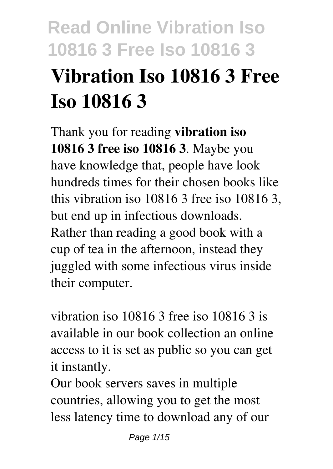# **Read Online Vibration Iso 10816 3 Free Iso 10816 3 Vibration Iso 10816 3 Free Iso 10816 3**

Thank you for reading **vibration iso 10816 3 free iso 10816 3**. Maybe you have knowledge that, people have look hundreds times for their chosen books like this vibration iso 10816 3 free iso 10816 3, but end up in infectious downloads. Rather than reading a good book with a cup of tea in the afternoon, instead they juggled with some infectious virus inside their computer.

vibration iso 10816 3 free iso 10816 3 is available in our book collection an online access to it is set as public so you can get it instantly.

Our book servers saves in multiple countries, allowing you to get the most less latency time to download any of our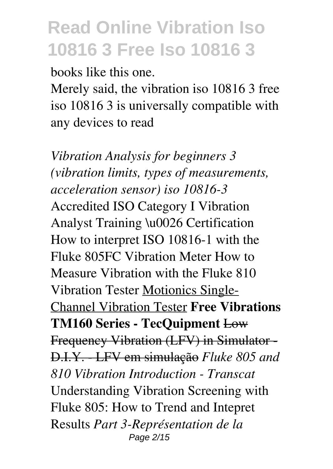books like this one.

Merely said, the vibration iso 10816 3 free iso 10816 3 is universally compatible with any devices to read

*Vibration Analysis for beginners 3 (vibration limits, types of measurements, acceleration sensor) iso 10816-3* Accredited ISO Category I Vibration Analyst Training \u0026 Certification How to interpret ISO 10816-1 with the Fluke 805FC Vibration Meter How to Measure Vibration with the Fluke 810 Vibration Tester Motionics Single-Channel Vibration Tester **Free Vibrations TM160 Series - TecQuipment** Low Frequency Vibration (LFV) in Simulator - D.I.Y. - LFV em simulação *Fluke 805 and 810 Vibration Introduction - Transcat* Understanding Vibration Screening with Fluke 805: How to Trend and Intepret Results *Part 3-Représentation de la* Page 2/15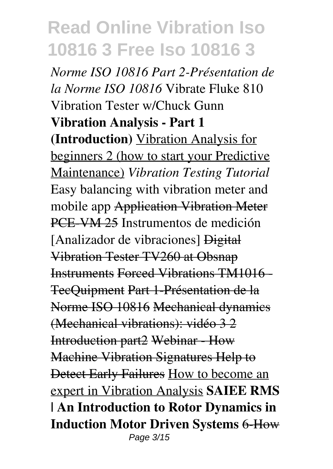*Norme ISO 10816 Part 2-Présentation de la Norme ISO 10816* Vibrate Fluke 810 Vibration Tester w/Chuck Gunn **Vibration Analysis - Part 1 (Introduction)** Vibration Analysis for beginners 2 (how to start your Predictive Maintenance) *Vibration Testing Tutorial* Easy balancing with vibration meter and mobile app Application Vibration Meter PCE-VM 25 Instrumentos de medición [Analizador de vibraciones] Digital Vibration Tester TV260 at Obsnap Instruments Forced Vibrations TM1016 - TecQuipment Part 1-Présentation de la Norme ISO 10816 Mechanical dynamics (Mechanical vibrations): vidéo 3 2 Introduction part2 Webinar - How Machine Vibration Signatures Help to Detect Early Failures How to become an expert in Vibration Analysis **SAIEE RMS | An Introduction to Rotor Dynamics in Induction Motor Driven Systems** 6-How Page 3/15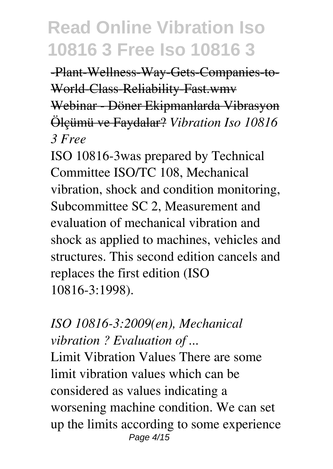-Plant-Wellness-Way-Gets-Companies-to-World-Class-Reliability-Fast.wmv Webinar - Döner Ekipmanlarda Vibrasyon Ölçümü ve Faydalar? *Vibration Iso 10816 3 Free*

ISO 10816-3was prepared by Technical Committee ISO/TC 108, Mechanical vibration, shock and condition monitoring, Subcommittee SC 2, Measurement and evaluation of mechanical vibration and shock as applied to machines, vehicles and structures. This second edition cancels and replaces the first edition (ISO 10816-3:1998).

#### *ISO 10816-3:2009(en), Mechanical vibration ? Evaluation of ...*

Limit Vibration Values There are some limit vibration values which can be considered as values indicating a worsening machine condition. We can set up the limits according to some experience Page 4/15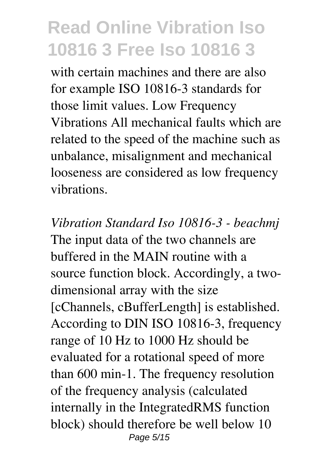with certain machines and there are also for example ISO 10816-3 standards for those limit values. Low Frequency Vibrations All mechanical faults which are related to the speed of the machine such as unbalance, misalignment and mechanical looseness are considered as low frequency vibrations.

*Vibration Standard Iso 10816-3 - beachmj* The input data of the two channels are buffered in the MAIN routine with a source function block. Accordingly, a twodimensional array with the size [cChannels, cBufferLength] is established. According to DIN ISO 10816-3, frequency range of 10 Hz to 1000 Hz should be evaluated for a rotational speed of more than 600 min-1. The frequency resolution of the frequency analysis (calculated internally in the IntegratedRMS function block) should therefore be well below 10 Page 5/15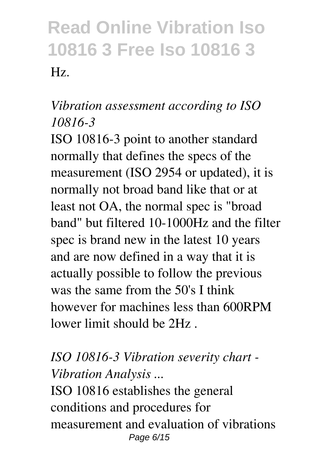#### *Vibration assessment according to ISO 10816-3*

ISO 10816-3 point to another standard normally that defines the specs of the measurement (ISO 2954 or updated), it is normally not broad band like that or at least not OA, the normal spec is "broad band" but filtered 10-1000Hz and the filter spec is brand new in the latest 10 years and are now defined in a way that it is actually possible to follow the previous was the same from the 50's I think however for machines less than 600RPM lower limit should be 2Hz .

#### *ISO 10816-3 Vibration severity chart - Vibration Analysis ...* ISO 10816 establishes the general conditions and procedures for

measurement and evaluation of vibrations Page 6/15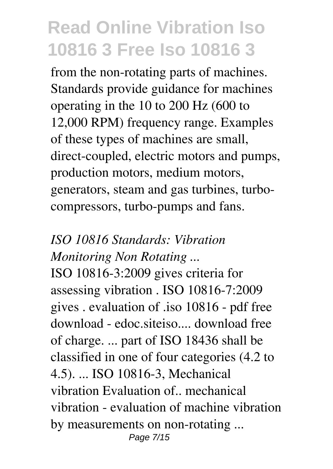from the non-rotating parts of machines. Standards provide guidance for machines operating in the 10 to 200 Hz (600 to 12,000 RPM) frequency range. Examples of these types of machines are small, direct-coupled, electric motors and pumps, production motors, medium motors, generators, steam and gas turbines, turbocompressors, turbo-pumps and fans.

#### *ISO 10816 Standards: Vibration Monitoring Non Rotating ...*

ISO 10816-3:2009 gives criteria for assessing vibration . ISO 10816-7:2009 gives . evaluation of .iso 10816 - pdf free download - edoc.siteiso.... download free of charge. ... part of ISO 18436 shall be classified in one of four categories (4.2 to 4.5). ... ISO 10816-3, Mechanical vibration Evaluation of.. mechanical vibration - evaluation of machine vibration by measurements on non-rotating ... Page 7/15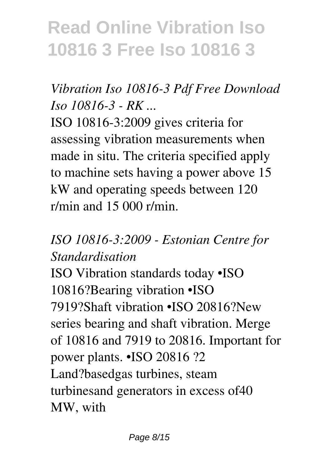#### *Vibration Iso 10816-3 Pdf Free Download Iso 10816-3 - RK ...*

ISO 10816-3:2009 gives criteria for assessing vibration measurements when made in situ. The criteria specified apply to machine sets having a power above 15 kW and operating speeds between 120 r/min and 15 000 r/min.

#### *ISO 10816-3:2009 - Estonian Centre for Standardisation*

ISO Vibration standards today •ISO 10816?Bearing vibration •ISO 7919?Shaft vibration •ISO 20816?New series bearing and shaft vibration. Merge of 10816 and 7919 to 20816. Important for power plants. •ISO 20816 ?2 Land?basedgas turbines, steam turbinesand generators in excess of40 MW, with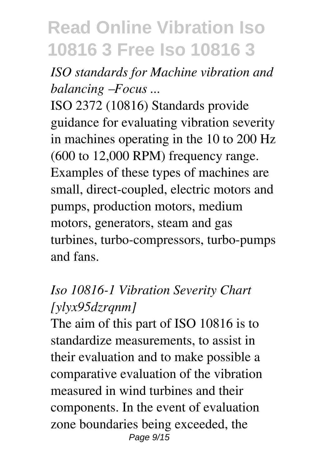*ISO standards for Machine vibration and balancing –Focus ...*

ISO 2372 (10816) Standards provide guidance for evaluating vibration severity in machines operating in the 10 to 200 Hz (600 to 12,000 RPM) frequency range. Examples of these types of machines are small, direct-coupled, electric motors and pumps, production motors, medium motors, generators, steam and gas turbines, turbo-compressors, turbo-pumps and fans.

#### *Iso 10816-1 Vibration Severity Chart [ylyx95dzrqnm]*

The aim of this part of ISO 10816 is to standardize measurements, to assist in their evaluation and to make possible a comparative evaluation of the vibration measured in wind turbines and their components. In the event of evaluation zone boundaries being exceeded, the Page 9/15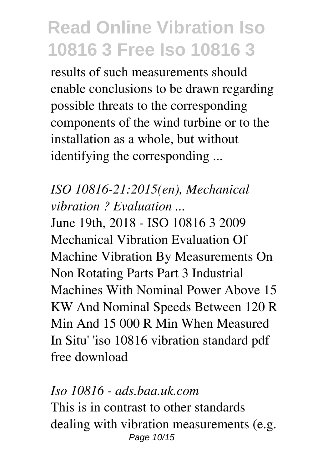results of such measurements should enable conclusions to be drawn regarding possible threats to the corresponding components of the wind turbine or to the installation as a whole, but without identifying the corresponding ...

#### *ISO 10816-21:2015(en), Mechanical vibration ? Evaluation ...*

June 19th, 2018 - ISO 10816 3 2009 Mechanical Vibration Evaluation Of Machine Vibration By Measurements On Non Rotating Parts Part 3 Industrial Machines With Nominal Power Above 15 KW And Nominal Speeds Between 120 R Min And 15 000 R Min When Measured In Situ' 'iso 10816 vibration standard pdf free download

#### *Iso 10816 - ads.baa.uk.com* This is in contrast to other standards dealing with vibration measurements (e.g. Page 10/15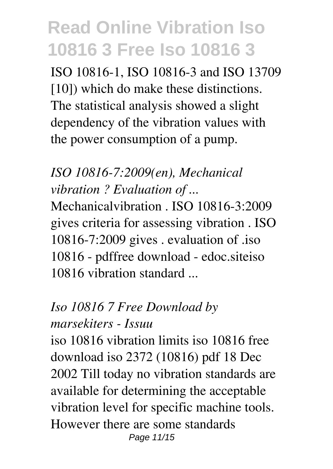ISO 10816-1, ISO 10816-3 and ISO 13709 [10]) which do make these distinctions. The statistical analysis showed a slight dependency of the vibration values with the power consumption of a pump.

*ISO 10816-7:2009(en), Mechanical vibration ? Evaluation of ...*

Mechanicalvibration . ISO 10816-3:2009 gives criteria for assessing vibration . ISO 10816-7:2009 gives . evaluation of .iso 10816 - pdffree download - edoc.siteiso 10816 vibration standard ...

#### *Iso 10816 7 Free Download by*

#### *marsekiters - Issuu*

iso 10816 vibration limits iso 10816 free download iso 2372 (10816) pdf 18 Dec 2002 Till today no vibration standards are available for determining the acceptable vibration level for specific machine tools. However there are some standards Page 11/15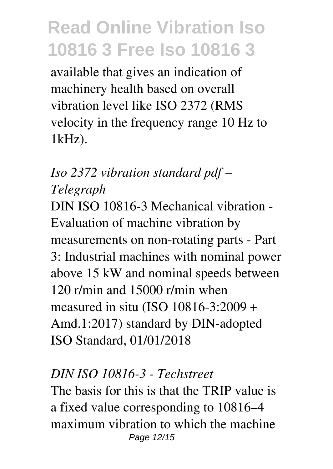available that gives an indication of machinery health based on overall vibration level like ISO 2372 (RMS velocity in the frequency range 10 Hz to 1kHz).

### *Iso 2372 vibration standard pdf – Telegraph*

DIN ISO 10816-3 Mechanical vibration - Evaluation of machine vibration by measurements on non-rotating parts - Part 3: Industrial machines with nominal power above 15 kW and nominal speeds between 120 r/min and 15000 r/min when measured in situ (ISO 10816-3:2009 + Amd.1:2017) standard by DIN-adopted ISO Standard, 01/01/2018

#### *DIN ISO 10816-3 - Techstreet*

The basis for this is that the TRIP value is a fixed value corresponding to 10816–4 maximum vibration to which the machine Page 12/15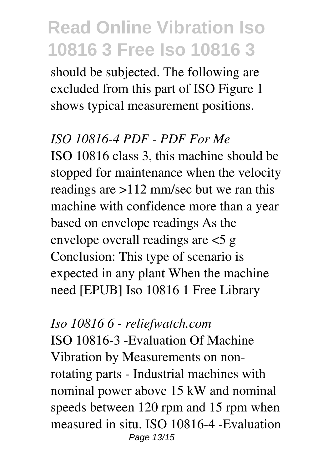should be subjected. The following are excluded from this part of ISO Figure 1 shows typical measurement positions.

#### *ISO 10816-4 PDF - PDF For Me*

ISO 10816 class 3, this machine should be stopped for maintenance when the velocity readings are >112 mm/sec but we ran this machine with confidence more than a year based on envelope readings As the envelope overall readings are <5 g Conclusion: This type of scenario is expected in any plant When the machine need [EPUB] Iso 10816 1 Free Library

#### *Iso 10816 6 - reliefwatch.com*

ISO 10816-3 -Evaluation Of Machine Vibration by Measurements on nonrotating parts - Industrial machines with nominal power above 15 kW and nominal speeds between 120 rpm and 15 rpm when measured in situ. ISO 10816-4 -Evaluation Page 13/15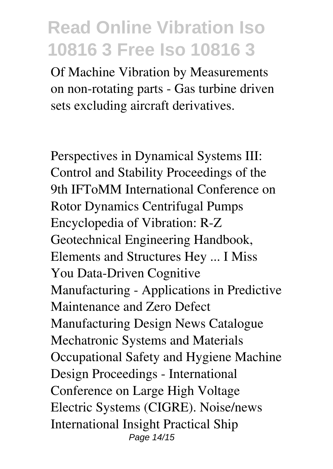Of Machine Vibration by Measurements on non-rotating parts - Gas turbine driven sets excluding aircraft derivatives.

Perspectives in Dynamical Systems III: Control and Stability Proceedings of the 9th IFToMM International Conference on Rotor Dynamics Centrifugal Pumps Encyclopedia of Vibration: R-Z Geotechnical Engineering Handbook, Elements and Structures Hey ... I Miss You Data-Driven Cognitive Manufacturing - Applications in Predictive Maintenance and Zero Defect Manufacturing Design News Catalogue Mechatronic Systems and Materials Occupational Safety and Hygiene Machine Design Proceedings - International Conference on Large High Voltage Electric Systems (CIGRE). Noise/news International Insight Practical Ship Page 14/15